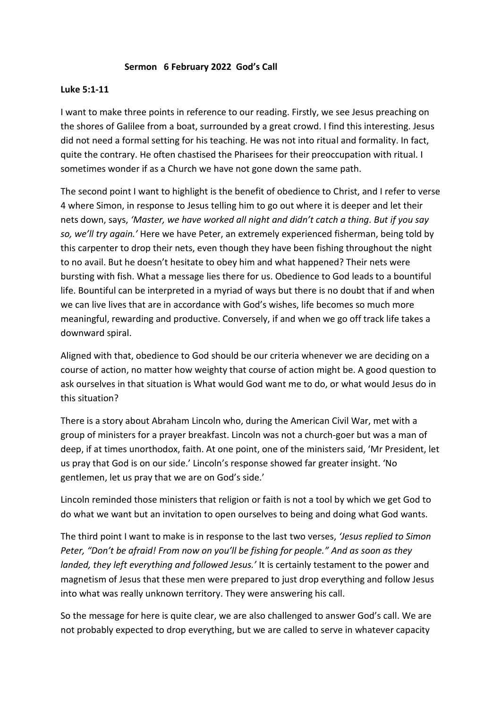## **Sermon 6 February 2022 God's Call**

## **Luke 5:1-11**

I want to make three points in reference to our reading. Firstly, we see Jesus preaching on the shores of Galilee from a boat, surrounded by a great crowd. I find this interesting. Jesus did not need a formal setting for his teaching. He was not into ritual and formality. In fact, quite the contrary. He often chastised the Pharisees for their preoccupation with ritual. I sometimes wonder if as a Church we have not gone down the same path.

The second point I want to highlight is the benefit of obedience to Christ, and I refer to verse 4 where Simon, in response to Jesus telling him to go out where it is deeper and let their nets down, says, *'Master, we have worked all night and didn't catch a thing. But if you say so, we'll try again.'* Here we have Peter, an extremely experienced fisherman, being told by this carpenter to drop their nets, even though they have been fishing throughout the night to no avail. But he doesn't hesitate to obey him and what happened? Their nets were bursting with fish. What a message lies there for us. Obedience to God leads to a bountiful life. Bountiful can be interpreted in a myriad of ways but there is no doubt that if and when we can live lives that are in accordance with God's wishes, life becomes so much more meaningful, rewarding and productive. Conversely, if and when we go off track life takes a downward spiral.

Aligned with that, obedience to God should be our criteria whenever we are deciding on a course of action, no matter how weighty that course of action might be. A good question to ask ourselves in that situation is What would God want me to do, or what would Jesus do in this situation?

There is a story about Abraham Lincoln who, during the American Civil War, met with a group of ministers for a prayer breakfast. Lincoln was not a church-goer but was a man of deep, if at times unorthodox, faith. At one point, one of the ministers said, 'Mr President, let us pray that God is on our side.' Lincoln's response showed far greater insight. 'No gentlemen, let us pray that we are on God's side.'

Lincoln reminded those ministers that religion or faith is not a tool by which we get God to do what we want but an invitation to open ourselves to being and doing what God wants.

The third point I want to make is in response to the last two verses, *'Jesus replied to Simon Peter, "Don't be afraid! From now on you'll be fishing for people." And as soon as they landed, they left everything and followed Jesus.'* It is certainly testament to the power and magnetism of Jesus that these men were prepared to just drop everything and follow Jesus into what was really unknown territory. They were answering his call.

So the message for here is quite clear, we are also challenged to answer God's call. We are not probably expected to drop everything, but we are called to serve in whatever capacity